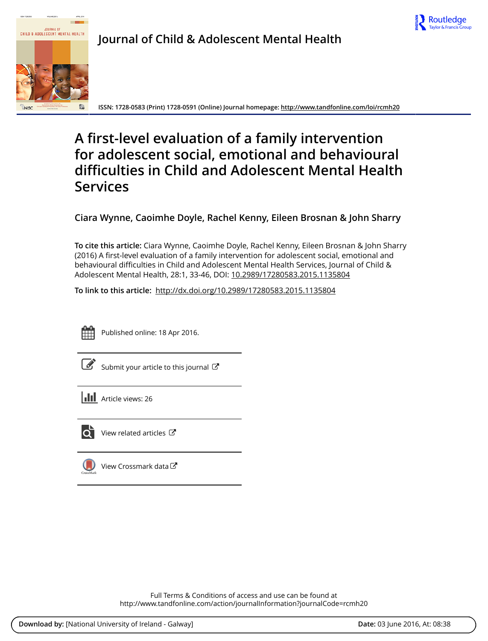



**Journal of Child & Adolescent Mental Health**

**ISSN: 1728-0583 (Print) 1728-0591 (Online) Journal homepage:<http://www.tandfonline.com/loi/rcmh20>**

# **A first-level evaluation of a family intervention for adolescent social, emotional and behavioural difficulties in Child and Adolescent Mental Health Services**

**Ciara Wynne, Caoimhe Doyle, Rachel Kenny, Eileen Brosnan & John Sharry**

**To cite this article:** Ciara Wynne, Caoimhe Doyle, Rachel Kenny, Eileen Brosnan & John Sharry (2016) A first-level evaluation of a family intervention for adolescent social, emotional and behavioural difficulties in Child and Adolescent Mental Health Services, Journal of Child & Adolescent Mental Health, 28:1, 33-46, DOI: [10.2989/17280583.2015.1135804](http://www.tandfonline.com/action/showCitFormats?doi=10.2989/17280583.2015.1135804)

**To link to this article:** <http://dx.doi.org/10.2989/17280583.2015.1135804>



Published online: 18 Apr 2016.

mit your article to this journal  ${\mathbb C}$ 

**III** Article views: 26



 $\overrightarrow{O}$  [View related articles](http://www.tandfonline.com/doi/mlt/10.2989/17280583.2015.1135804)  $\overrightarrow{C}$ 

[View Crossmark data](http://crossmark.crossref.org/dialog/?doi=10.2989/17280583.2015.1135804&domain=pdf&date_stamp=2016-04-18)

Full Terms & Conditions of access and use can be found at <http://www.tandfonline.com/action/journalInformation?journalCode=rcmh20>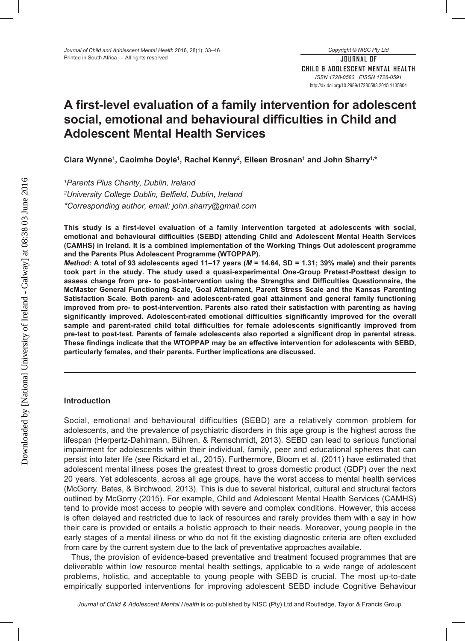# **A first-level evaluation of a family intervention for adolescent social, emotional and behavioural difficulties in Child and Adolescent Mental Health Services**

**Ciara Wynne1, Caoimhe Doyle1, Rachel Kenny2, Eileen Brosnan1 and John Sharry1,\***

*1Parents Plus Charity, Dublin, Ireland 2University College Dublin, Belfield, Dublin, Ireland \*Corresponding author, email: john.sharry@gmail.com*

**This study is a first-level evaluation of a family intervention targeted at adolescents with social, emotional and behavioural difficulties (SEBD) attending Child and Adolescent Mental Health Services (CAMHS) in Ireland. It is a combined implementation of the Working Things Out adolescent programme and the Parents Plus Adolescent Programme (WTOPPAP).** 

*Method:* **A total of 93 adolescents aged 11–17 years (***M* **= 14.64, SD = 1.31; 39% male) and their parents took part in the study. The study used a quasi-experimental One-Group Pretest-Posttest design to assess change from pre- to post-intervention using the Strengths and Difficulties Questionnaire, the McMaster General Functioning Scale, Goal Attainment, Parent Stress Scale and the Kansas Parenting Satisfaction Scale. Both parent- and adolescent-rated goal attainment and general family functioning improved from pre- to post-intervention. Parents also rated their satisfaction with parenting as having significantly improved. Adolescent-rated emotional difficulties significantly improved for the overall sample and parent-rated child total difficulties for female adolescents significantly improved from pre-test to post-test. Parents of female adolescents also reported a significant drop in parental stress. These findings indicate that the WTOPPAP may be an effective intervention for adolescents with SEBD, particularly females, and their parents. Further implications are discussed.**

# **Introduction**

Social, emotional and behavioural difficulties (SEBD) are a relatively common problem for adolescents, and the prevalence of psychiatric disorders in this age group is the highest across the lifespan (Herpertz-Dahlmann, Bühren, & Remschmidt, 2013). SEBD can lead to serious functional impairment for adolescents within their individual, family, peer and educational spheres that can persist into later life (see Rickard et al., 2015). Furthermore, Bloom et al. (2011) have estimated that adolescent mental illness poses the greatest threat to gross domestic product (GDP) over the next 20 years. Yet adolescents, across all age groups, have the worst access to mental health services (McGorry, Bates, & Birchwood, 2013). This is due to several historical, cultural and structural factors outlined by McGorry (2015). For example, Child and Adolescent Mental Health Services (CAMHS) tend to provide most access to people with severe and complex conditions. However, this access is often delayed and restricted due to lack of resources and rarely provides them with a say in how their care is provided or entails a holistic approach to their needs. Moreover, young people in the early stages of a mental illness or who do not fit the existing diagnostic criteria are often excluded from care by the current system due to the lack of preventative approaches available.

Thus, the provision of evidence-based preventative and treatment focused programmes that are deliverable within low resource mental health settings, applicable to a wide range of adolescent problems, holistic, and acceptable to young people with SEBD is crucial. The most up-to-date empirically supported interventions for improving adolescent SEBD include Cognitive Behaviour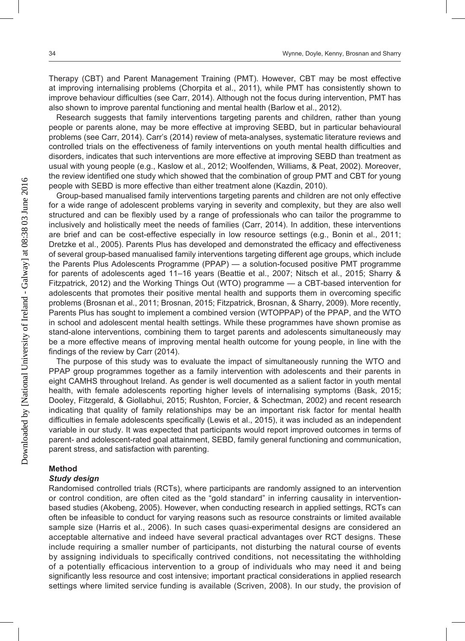Therapy (CBT) and Parent Management Training (PMT). However, CBT may be most effective at improving internalising problems (Chorpita et al., 2011), while PMT has consistently shown to improve behaviour difficulties (see Carr, 2014). Although not the focus during intervention, PMT has also shown to improve parental functioning and mental health (Barlow et al., 2012).

Research suggests that family interventions targeting parents and children, rather than young people or parents alone, may be more effective at improving SEBD, but in particular behavioural problems (see Carr, 2014). Carr's (2014) review of meta-analyses, systematic literature reviews and controlled trials on the effectiveness of family interventions on youth mental health difficulties and disorders, indicates that such interventions are more effective at improving SEBD than treatment as usual with young people (e.g., Kaslow et al., 2012; Woolfenden, Williams, & Peat, 2002). Moreover, the review identified one study which showed that the combination of group PMT and CBT for young people with SEBD is more effective than either treatment alone (Kazdin, 2010).

Group-based manualised family interventions targeting parents and children are not only effective for a wide range of adolescent problems varying in severity and complexity, but they are also well structured and can be flexibly used by a range of professionals who can tailor the programme to inclusively and holistically meet the needs of families (Carr, 2014). In addition, these interventions are brief and can be cost-effective especially in low resource settings (e.g., Bonin et al., 2011; Dretzke et al., 2005). Parents Plus has developed and demonstrated the efficacy and effectiveness of several group-based manualised family interventions targeting different age groups, which include the Parents Plus Adolescents Programme (PPAP) — a solution-focused positive PMT programme for parents of adolescents aged 11–16 years (Beattie et al., 2007; Nitsch et al., 2015; Sharry & Fitzpatrick, 2012) and the Working Things Out (WTO) programme — a CBT-based intervention for adolescents that promotes their positive mental health and supports them in overcoming specific problems (Brosnan et al., 2011; Brosnan, 2015; Fitzpatrick, Brosnan, & Sharry, 2009). More recently, Parents Plus has sought to implement a combined version (WTOPPAP) of the PPAP, and the WTO in school and adolescent mental health settings. While these programmes have shown promise as stand-alone interventions, combining them to target parents and adolescents simultaneously may be a more effective means of improving mental health outcome for young people, in line with the findings of the review by Carr (2014).

The purpose of this study was to evaluate the impact of simultaneously running the WTO and PPAP group programmes together as a family intervention with adolescents and their parents in eight CAMHS throughout Ireland. As gender is well documented as a salient factor in youth mental health, with female adolescents reporting higher levels of internalising symptoms (Bask, 2015; Dooley, Fitzgerald, & Giollabhui, 2015; Rushton, Forcier, & Schectman, 2002) and recent research indicating that quality of family relationships may be an important risk factor for mental health difficulties in female adolescents specifically (Lewis et al., 2015), it was included as an independent variable in our study. It was expected that participants would report improved outcomes in terms of parent- and adolescent-rated goal attainment, SEBD, family general functioning and communication, parent stress, and satisfaction with parenting.

## **Method**

## *Study design*

Randomised controlled trials (RCTs), where participants are randomly assigned to an intervention or control condition, are often cited as the "gold standard" in inferring causality in interventionbased studies (Akobeng, 2005). However, when conducting research in applied settings, RCTs can often be infeasible to conduct for varying reasons such as resource constraints or limited available sample size (Harris et al., 2006). In such cases quasi-experimental designs are considered an acceptable alternative and indeed have several practical advantages over RCT designs. These include requiring a smaller number of participants, not disturbing the natural course of events by assigning individuals to specifically contrived conditions, not necessitating the withholding of a potentially efficacious intervention to a group of individuals who may need it and being significantly less resource and cost intensive; important practical considerations in applied research settings where limited service funding is available (Scriven, 2008). In our study, the provision of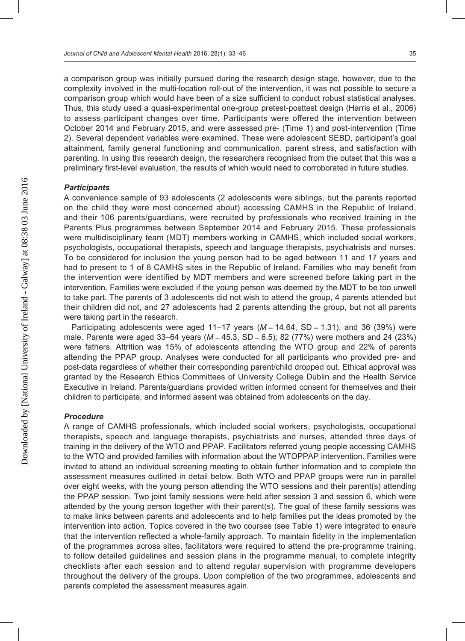a comparison group was initially pursued during the research design stage, however, due to the complexity involved in the multi-location roll-out of the intervention, it was not possible to secure a comparison group which would have been of a size sufficient to conduct robust statistical analyses. Thus, this study used a quasi-experimental one-group pretest-posttest design (Harris et al., 2006) to assess participant changes over time. Participants were offered the intervention between October 2014 and February 2015, and were assessed pre- (Time 1) and post-intervention (Time 2). Several dependent variables were examined. These were adolescent SEBD, participant's goal attainment, family general functioning and communication, parent stress, and satisfaction with parenting. In using this research design, the researchers recognised from the outset that this was a preliminary first-level evaluation, the results of which would need to corroborated in future studies.

#### *Participants*

A convenience sample of 93 adolescents (2 adolescents were siblings, but the parents reported on the child they were most concerned about) accessing CAMHS in the Republic of Ireland, and their 106 parents/guardians, were recruited by professionals who received training in the Parents Plus programmes between September 2014 and February 2015. These professionals were multidisciplinary team (MDT) members working in CAMHS, which included social workers, psychologists, occupational therapists, speech and language therapists, psychiatrists and nurses. To be considered for inclusion the young person had to be aged between 11 and 17 years and had to present to 1 of 8 CAMHS sites in the Republic of Ireland. Families who may benefit from the intervention were identified by MDT members and were screened before taking part in the intervention. Families were excluded if the young person was deemed by the MDT to be too unwell to take part. The parents of 3 adolescents did not wish to attend the group, 4 parents attended but their children did not, and 27 adolescents had 2 parents attending the group, but not all parents were taking part in the research.

Participating adolescents were aged 11–17 years (*M* = 14.64, SD = 1.31), and 36 (39%) were male. Parents were aged 33–64 years (*M* = 45.3, SD = 6.5); 82 (77%) were mothers and 24 (23%) were fathers. Attrition was 15% of adolescents attending the WTO group and 22% of parents attending the PPAP group. Analyses were conducted for all participants who provided pre- and post-data regardless of whether their corresponding parent/child dropped out. Ethical approval was granted by the Research Ethics Committees of University College Dublin and the Health Service Executive in Ireland. Parents/guardians provided written informed consent for themselves and their children to participate, and informed assent was obtained from adolescents on the day.

#### *Procedure*

A range of CAMHS professionals, which included social workers, psychologists, occupational therapists, speech and language therapists, psychiatrists and nurses, attended three days of training in the delivery of the WTO and PPAP. Facilitators referred young people accessing CAMHS to the WTO and provided families with information about the WTOPPAP intervention. Families were invited to attend an individual screening meeting to obtain further information and to complete the assessment measures outlined in detail below. Both WTO and PPAP groups were run in parallel over eight weeks, with the young person attending the WTO sessions and their parent(s) attending the PPAP session. Two joint family sessions were held after session 3 and session 6, which were attended by the young person together with their parent(s). The goal of these family sessions was to make links between parents and adolescents and to help families put the ideas promoted by the intervention into action. Topics covered in the two courses (see Table 1) were integrated to ensure that the intervention reflected a whole-family approach. To maintain fidelity in the implementation of the programmes across sites, facilitators were required to attend the pre-programme training, to follow detailed guidelines and session plans in the programme manual, to complete integrity checklists after each session and to attend regular supervision with programme developers throughout the delivery of the groups. Upon completion of the two programmes, adolescents and parents completed the assessment measures again.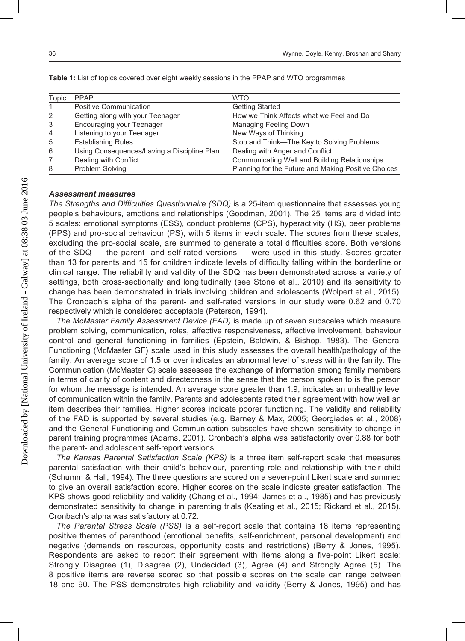| Topic | <b>PPAP</b>                                 | <b>WTO</b>                                          |
|-------|---------------------------------------------|-----------------------------------------------------|
| 1     | Positive Communication                      | <b>Getting Started</b>                              |
| 2     | Getting along with your Teenager            | How we Think Affects what we Feel and Do            |
| 3     | Encouraging your Teenager                   | Managing Feeling Down                               |
| 4     | Listening to your Teenager                  | New Ways of Thinking                                |
| 5     | <b>Establishing Rules</b>                   | Stop and Think-The Key to Solving Problems          |
| 6     | Using Consequences/having a Discipline Plan | Dealing with Anger and Conflict                     |
|       | Dealing with Conflict                       | Communicating Well and Building Relationships       |
| 8     | Problem Solving                             | Planning for the Future and Making Positive Choices |

**Table 1:** List of topics covered over eight weekly sessions in the PPAP and WTO programmes

# *Assessment measures*

*The Strengths and Difficulties Questionnaire (SDQ)* is a 25-item questionnaire that assesses young people's behaviours, emotions and relationships (Goodman, 2001). The 25 items are divided into 5 scales: emotional symptoms (ESS), conduct problems (CPS), hyperactivity (HS), peer problems (PPS) and pro-social behaviour (PS), with 5 items in each scale. The scores from these scales, excluding the pro-social scale, are summed to generate a total difficulties score. Both versions of the SDQ — the parent- and self-rated versions — were used in this study. Scores greater than 13 for parents and 15 for children indicate levels of difficulty falling within the borderline or clinical range. The reliability and validity of the SDQ has been demonstrated across a variety of settings, both cross-sectionally and longitudinally (see Stone et al., 2010) and its sensitivity to change has been demonstrated in trials involving children and adolescents (Wolpert et al., 2015). The Cronbach's alpha of the parent- and self-rated versions in our study were 0.62 and 0.70 respectively which is considered acceptable (Peterson, 1994).

*The McMaster Family Assessment Device (FAD)* is made up of seven subscales which measure problem solving, communication, roles, affective responsiveness, affective involvement, behaviour control and general functioning in families (Epstein, Baldwin, & Bishop, 1983). The General Functioning (McMaster GF) scale used in this study assesses the overall health/pathology of the family. An average score of 1.5 or over indicates an abnormal level of stress within the family. The Communication (McMaster C) scale assesses the exchange of information among family members in terms of clarity of content and directedness in the sense that the person spoken to is the person for whom the message is intended. An average score greater than 1.9, indicates an unhealthy level of communication within the family. Parents and adolescents rated their agreement with how well an item describes their families. Higher scores indicate poorer functioning. The validity and reliability of the FAD is supported by several studies (e.g. Barney & Max, 2005; Georgiades et al., 2008) and the General Functioning and Communication subscales have shown sensitivity to change in parent training programmes (Adams, 2001). Cronbach's alpha was satisfactorily over 0.88 for both the parent- and adolescent self-report versions.

*The Kansas Parental Satisfaction Scale (KPS)* is a three item self-report scale that measures parental satisfaction with their child's behaviour, parenting role and relationship with their child (Schumm & Hall, 1994). The three questions are scored on a seven-point Likert scale and summed to give an overall satisfaction score. Higher scores on the scale indicate greater satisfaction. The KPS shows good reliability and validity (Chang et al., 1994; James et al., 1985) and has previously demonstrated sensitivity to change in parenting trials (Keating et al., 2015; Rickard et al., 2015). Cronbach's alpha was satisfactory at 0.72.

*The Parental Stress Scale (PSS)* is a self-report scale that contains 18 items representing positive themes of parenthood (emotional benefits, self-enrichment, personal development) and negative (demands on resources, opportunity costs and restrictions) (Berry & Jones, 1995). Respondents are asked to report their agreement with items along a five-point Likert scale: Strongly Disagree (1), Disagree (2), Undecided (3), Agree (4) and Strongly Agree (5). The 8 positive items are reverse scored so that possible scores on the scale can range between 18 and 90. The PSS demonstrates high reliability and validity (Berry & Jones, 1995) and has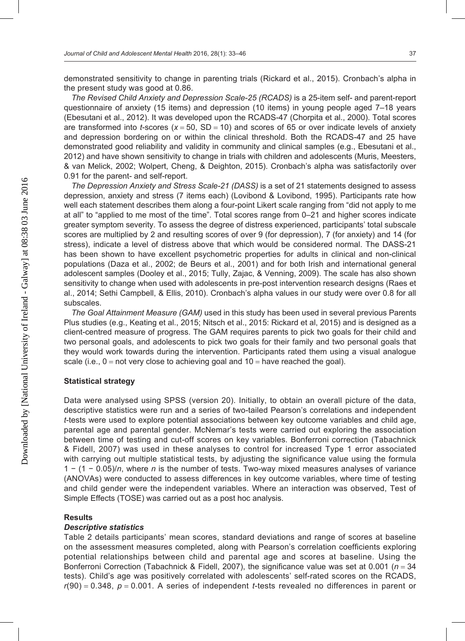demonstrated sensitivity to change in parenting trials (Rickard et al., 2015). Cronbach's alpha in the present study was good at 0.86.

*The Revised Child Anxiety and Depression Scale-25 (RCADS)* is a 25-item self- and parent-report questionnaire of anxiety (15 items) and depression (10 items) in young people aged 7–18 years (Ebesutani et al., 2012). It was developed upon the RCADS-47 (Chorpita et al., 2000). Total scores are transformed into *t*-scores (*x* = 50, SD = 10) and scores of 65 or over indicate levels of anxiety and depression bordering on or within the clinical threshold. Both the RCADS-47 and 25 have demonstrated good reliability and validity in community and clinical samples (e.g., Ebesutani et al., 2012) and have shown sensitivity to change in trials with children and adolescents (Muris, Meesters, & van Melick, 2002; Wolpert, Cheng, & Deighton, 2015). Cronbach's alpha was satisfactorily over 0.91 for the parent- and self-report.

*The Depression Anxiety and Stress Scale-21 (DASS)* is a set of 21 statements designed to assess depression, anxiety and stress (7 items each) (Lovibond & Lovibond, 1995). Participants rate how well each statement describes them along a four-point Likert scale ranging from "did not apply to me at all" to "applied to me most of the time". Total scores range from 0–21 and higher scores indicate greater symptom severity. To assess the degree of distress experienced, participants' total subscale scores are multiplied by 2 and resulting scores of over 9 (for depression), 7 (for anxiety) and 14 (for stress), indicate a level of distress above that which would be considered normal. The DASS-21 has been shown to have excellent psychometric properties for adults in clinical and non-clinical populations (Daza et al., 2002; de Beurs et al., 2001) and for both Irish and international general adolescent samples (Dooley et al., 2015; Tully, Zajac, & Venning, 2009). The scale has also shown sensitivity to change when used with adolescents in pre-post intervention research designs (Raes et al., 2014; Sethi Campbell, & Ellis, 2010). Cronbach's alpha values in our study were over 0.8 for all subscales.

*The Goal Attainment Measure (GAM)* used in this study has been used in several previous Parents Plus studies (e.g., Keating et al., 2015; Nitsch et al., 2015: Rickard et al, 2015) and is designed as a client-centred measure of progress. The GAM requires parents to pick two goals for their child and two personal goals, and adolescents to pick two goals for their family and two personal goals that they would work towards during the intervention. Participants rated them using a visual analogue scale (i.e.,  $0 = not$  very close to achieving goal and  $10 =$  have reached the goal).

#### **Statistical strategy**

Data were analysed using SPSS (version 20). Initially, to obtain an overall picture of the data, descriptive statistics were run and a series of two-tailed Pearson's correlations and independent *t*-tests were used to explore potential associations between key outcome variables and child age, parental age and parental gender. McNemar's tests were carried out exploring the association between time of testing and cut-off scores on key variables. Bonferroni correction (Tabachnick & Fidell, 2007) was used in these analyses to control for increased Type 1 error associated with carrying out multiple statistical tests, by adjusting the significance value using the formula 1 − (1 − 0.05)/*n*, where *n* is the number of tests. Two-way mixed measures analyses of variance (ANOVAs) were conducted to assess differences in key outcome variables, where time of testing and child gender were the independent variables. Where an interaction was observed, Test of Simple Effects (TOSE) was carried out as a post hoc analysis.

#### **Results**

#### *Descriptive statistics*

Table 2 details participants' mean scores, standard deviations and range of scores at baseline on the assessment measures completed, along with Pearson's correlation coefficients exploring potential relationships between child and parental age and scores at baseline. Using the Bonferroni Correction (Tabachnick & Fidell, 2007), the significance value was set at 0.001 (*n* = 34 tests). Child's age was positively correlated with adolescents' self-rated scores on the RCADS, *r*(90) = 0.348, *p* = 0.001. A series of independent *t*-tests revealed no differences in parent or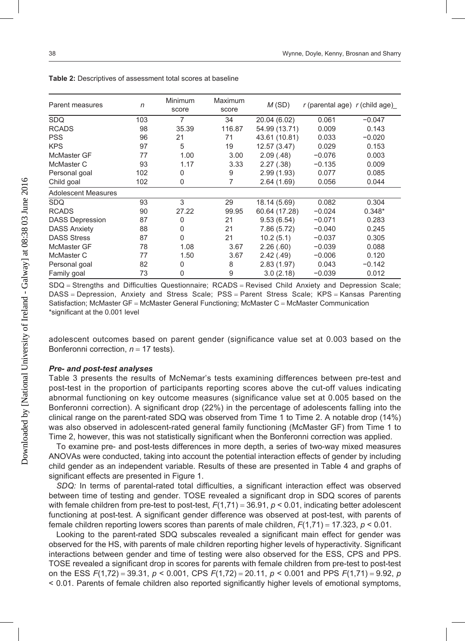| Parent measures            | n   | Minimum<br>score | Maximum<br>score | M(SD)         | $r$ (parental age) $r$ (child age) |          |
|----------------------------|-----|------------------|------------------|---------------|------------------------------------|----------|
| SDQ                        | 103 | 7                | 34               | 20.04 (6.02)  | 0.061                              | $-0.047$ |
| <b>RCADS</b>               | 98  | 35.39            | 116.87           | 54.99 (13.71) | 0.009                              | 0.143    |
| PSS                        | 96  | 21               | 71               | 43.61 (10.81) | 0.033                              | $-0.020$ |
| <b>KPS</b>                 | 97  | 5                | 19               | 12.57 (3.47)  | 0.029                              | 0.153    |
| McMaster GF                | 77  | 1.00             | 3.00             | 2.09(0.48)    | $-0.076$                           | 0.003    |
| McMaster C                 | 93  | 1.17             | 3.33             | 2.27(.38)     | $-0.135$                           | 0.009    |
| Personal goal              | 102 | 0                | 9                | 2.99(1.93)    | 0.077                              | 0.085    |
| Child goal                 | 102 | 0                | 7                | 2.64(1.69)    | 0.056                              | 0.044    |
| <b>Adolescent Measures</b> |     |                  |                  |               |                                    |          |
| SDQ                        | 93  | 3                | 29               | 18.14 (5.69)  | 0.082                              | 0.304    |
| <b>RCADS</b>               | 90  | 27.22            | 99.95            | 60.64 (17.28) | $-0.024$                           | $0.348*$ |
| <b>DASS Depression</b>     | 87  | 0                | 21               | 9.53(6.54)    | $-0.071$                           | 0.283    |
| <b>DASS Anxiety</b>        | 88  | 0                | 21               | 7.86 (5.72)   | $-0.040$                           | 0.245    |
| <b>DASS Stress</b>         | 87  | 0                | 21               | 10.2(5.1)     | $-0.037$                           | 0.305    |
| McMaster GF                | 78  | 1.08             | 3.67             | 2.26(.60)     | $-0.039$                           | 0.088    |
| McMaster C                 | 77  | 1.50             | 3.67             | 2.42(.49)     | $-0.006$                           | 0.120    |
| Personal goal              | 82  | 0                | 8                | 2.83(1.97)    | 0.043                              | $-0.142$ |
| Family goal                | 73  | 0                | 9                | 3.0(2.18)     | $-0.039$                           | 0.012    |

**Table 2:** Descriptives of assessment total scores at baseline

SDQ = Strengths and Difficulties Questionnaire; RCADS = Revised Child Anxiety and Depression Scale; DASS = Depression, Anxiety and Stress Scale; PSS = Parent Stress Scale; KPS = Kansas Parenting Satisfaction; McMaster GF = McMaster General Functioning; McMaster C = McMaster Communication \*significant at the 0.001 level

adolescent outcomes based on parent gender (significance value set at 0.003 based on the Bonferonni correction, *n* = 17 tests).

#### *Pre- and post-test analyses*

Table 3 presents the results of McNemar's tests examining differences between pre-test and post-test in the proportion of participants reporting scores above the cut-off values indicating abnormal functioning on key outcome measures (significance value set at 0.005 based on the Bonferonni correction). A significant drop (22%) in the percentage of adolescents falling into the clinical range on the parent-rated SDQ was observed from Time 1 to Time 2. A notable drop (14%) was also observed in adolescent-rated general family functioning (McMaster GF) from Time 1 to Time 2, however, this was not statistically significant when the Bonferonni correction was applied.

To examine pre- and post-tests differences in more depth, a series of two-way mixed measures ANOVAs were conducted, taking into account the potential interaction effects of gender by including child gender as an independent variable. Results of these are presented in Table 4 and graphs of significant effects are presented in Figure 1.

*SDQ:* In terms of parental-rated total difficulties, a significant interaction effect was observed between time of testing and gender. TOSE revealed a significant drop in SDQ scores of parents with female children from pre-test to post-test,  $F(1,71) = 36.91$ ,  $p < 0.01$ , indicating better adolescent functioning at post-test. A significant gender difference was observed at post-test, with parents of female children reporting lowers scores than parents of male children, *F*(1,71) = 17.323, *p* < 0.01.

Looking to the parent-rated SDQ subscales revealed a significant main effect for gender was observed for the HS, with parents of male children reporting higher levels of hyperactivity. Significant interactions between gender and time of testing were also observed for the ESS, CPS and PPS. TOSE revealed a significant drop in scores for parents with female children from pre-test to post-test on the ESS *F*(1,72) = 39.31, *p* < 0.001, CPS *F*(1,72) = 20.11, *p* < 0.001 and PPS *F*(1,71) = 9.92, *p* < 0.01. Parents of female children also reported significantly higher levels of emotional symptoms,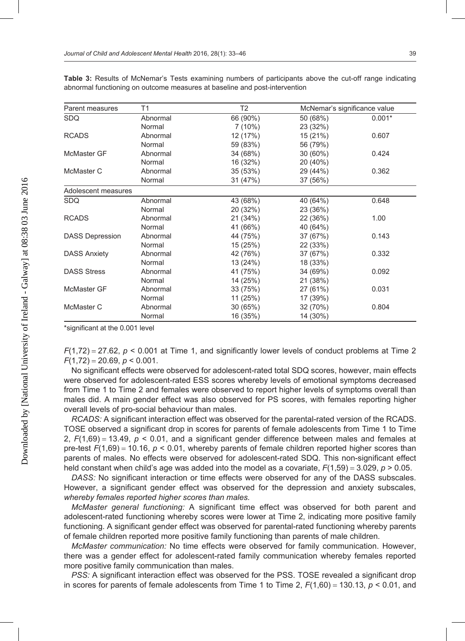| Parent measures        | T1       | T <sub>2</sub> | McNemar's significance value |          |  |
|------------------------|----------|----------------|------------------------------|----------|--|
| <b>SDQ</b>             | Abnormal | 66 (90%)       | 50 (68%)                     | $0.001*$ |  |
|                        | Normal   | 7(10%)         | 23 (32%)                     |          |  |
| <b>RCADS</b>           | Abnormal | 12 (17%)       | 15 (21%)                     | 0.607    |  |
|                        | Normal   | 59 (83%)       | 56 (79%)                     |          |  |
| McMaster GF            | Abnormal | 34 (68%)       | 30 (60%)                     | 0.424    |  |
|                        | Normal   | 16 (32%)       | 20 (40%)                     |          |  |
| McMaster C             | Abnormal | 35(53%)        | 29 (44%)                     | 0.362    |  |
|                        | Normal   | 31 (47%)       | 37 (56%)                     |          |  |
| Adolescent measures    |          |                |                              |          |  |
| <b>SDQ</b>             | Abnormal | 43 (68%)       | 40 (64%)                     | 0.648    |  |
|                        | Normal   | 20 (32%)       | 23 (36%)                     |          |  |
| <b>RCADS</b>           | Abnormal | 21 (34%)       | 22 (36%)                     | 1.00     |  |
|                        | Normal   | 41 (66%)       | 40 (64%)                     |          |  |
| <b>DASS Depression</b> | Abnormal | 44 (75%)       | 37 (67%)                     | 0.143    |  |
|                        | Normal   | 15 (25%)       | 22 (33%)                     |          |  |
| <b>DASS Anxiety</b>    | Abnormal | 42 (76%)       | 37 (67%)                     | 0.332    |  |
|                        | Normal   | 13 (24%)       | 18 (33%)                     |          |  |
| <b>DASS Stress</b>     | Abnormal | 41 (75%)       | 34 (69%)                     | 0.092    |  |
|                        | Normal   | 14 (25%)       | 21 (38%)                     |          |  |
| McMaster GF            | Abnormal | 33 (75%)       | 27 (61%)                     | 0.031    |  |
|                        | Normal   | 11 (25%)       | 17 (39%)                     |          |  |
| McMaster C             | Abnormal | 30 (65%)       | 32 (70%)                     | 0.804    |  |
|                        | Normal   | 16 (35%)       | 14 (30%)                     |          |  |

**Table 3:** Results of McNemar's Tests examining numbers of participants above the cut-off range indicating abnormal functioning on outcome measures at baseline and post-intervention

\*significant at the 0.001 level

 $F(1,72) = 27.62$ ,  $p < 0.001$  at Time 1, and significantly lower levels of conduct problems at Time 2  $F(1,72) = 20.69, p < 0.001.$ 

No significant effects were observed for adolescent-rated total SDQ scores, however, main effects were observed for adolescent-rated ESS scores whereby levels of emotional symptoms decreased from Time 1 to Time 2 and females were observed to report higher levels of symptoms overall than males did. A main gender effect was also observed for PS scores, with females reporting higher overall levels of pro-social behaviour than males.

*RCADS:* A significant interaction effect was observed for the parental-rated version of the RCADS. TOSE observed a significant drop in scores for parents of female adolescents from Time 1 to Time 2,  $F(1,69) = 13.49$ ,  $p \le 0.01$ , and a significant gender difference between males and females at pre-test  $F(1,69) = 10.16$ ,  $p < 0.01$ , whereby parents of female children reported higher scores than parents of males. No effects were observed for adolescent-rated SDQ. This non-significant effect held constant when child's age was added into the model as a covariate, *F*(1,59) = 3.029, *p* > 0.05.

*DASS:* No significant interaction or time effects were observed for any of the DASS subscales. However, a significant gender effect was observed for the depression and anxiety subscales, *whereby females reported higher scores than males.* 

*McMaster general functioning:* A significant time effect was observed for both parent and adolescent-rated functioning whereby scores were lower at Time 2, indicating more positive family functioning. A significant gender effect was observed for parental-rated functioning whereby parents of female children reported more positive family functioning than parents of male children.

*McMaster communication:* No time effects were observed for family communication. However, there was a gender effect for adolescent-rated family communication whereby females reported more positive family communication than males.

*PSS:* A significant interaction effect was observed for the PSS. TOSE revealed a significant drop in scores for parents of female adolescents from Time 1 to Time 2,  $F(1,60) = 130.13$ ,  $p < 0.01$ , and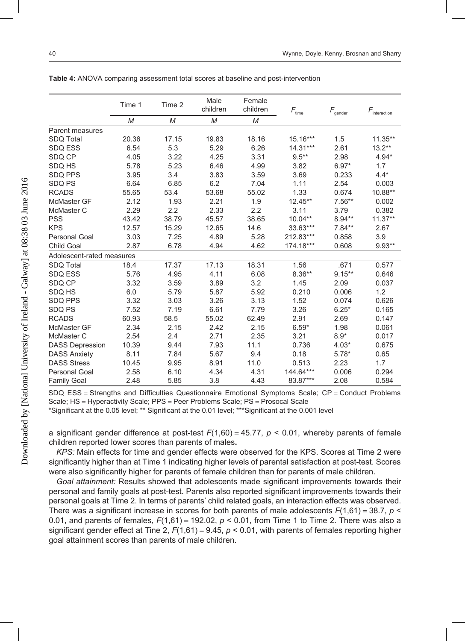|                           | Time 1 | Time 2 | Male<br>children | Female<br>children | $\mathit{F}_{\mathsf{time}}$ | $\textit{F}_{\rm gender}$ | $F_{\text{interaction}}$ |
|---------------------------|--------|--------|------------------|--------------------|------------------------------|---------------------------|--------------------------|
|                           | M      | M      | M                | M                  |                              |                           |                          |
| Parent measures           |        |        |                  |                    |                              |                           |                          |
| SDQ Total                 | 20.36  | 17.15  | 19.83            | 18.16              | 15.16***                     | 1.5                       | $11.35**$                |
| <b>SDQ ESS</b>            | 6.54   | 5.3    | 5.29             | 6.26               | $14.31***$                   | 2.61                      | $13.2***$                |
| SDQ CP                    | 4.05   | 3.22   | 4.25             | 3.31               | $9.5**$                      | 2.98                      | $4.94*$                  |
| SDQ HS                    | 5.78   | 5.23   | 6.46             | 4.99               | 3.82                         | $6.97*$                   | 1.7                      |
| <b>SDQ PPS</b>            | 3.95   | 3.4    | 3.83             | 3.59               | 3.69                         | 0.233                     | $4.4*$                   |
| SDQ PS                    | 6.64   | 6.85   | 6.2              | 7.04               | 1.11                         | 2.54                      | 0.003                    |
| <b>RCADS</b>              | 55.65  | 53.4   | 53.68            | 55.02              | 1.33                         | 0.674                     | 10.88**                  |
| McMaster GF               | 2.12   | 1.93   | 2.21             | 1.9                | $12.45**$                    | $7.56**$                  | 0.002                    |
| McMaster C                | 2.29   | 2.2    | 2.33             | 2.2                | 3.11                         | 3.79                      | 0.382                    |
| <b>PSS</b>                | 43.42  | 38.79  | 45.57            | 38.65              | $10.04**$                    | $8.94**$                  | $11.37**$                |
| <b>KPS</b>                | 12.57  | 15.29  | 12.65            | 14.6               | 33.63***                     | $7.84**$                  | 2.67                     |
| <b>Personal Goal</b>      | 3.03   | 7.25   | 4.89             | 5.28               | 212.83***                    | 0.858                     | 3.9                      |
| <b>Child Goal</b>         | 2.87   | 6.78   | 4.94             | 4.62               | 174.18***                    | 0.608                     | $9.93**$                 |
| Adolescent-rated measures |        |        |                  |                    |                              |                           |                          |
| <b>SDQ Total</b>          | 18.4   | 17.37  | 17.13            | 18.31              | 1.56                         | .671                      | 0.577                    |
| <b>SDQ ESS</b>            | 5.76   | 4.95   | 4.11             | 6.08               | $8.36**$                     | $9.15***$                 | 0.646                    |
| SDQ CP                    | 3.32   | 3.59   | 3.89             | 3.2                | 1.45                         | 2.09                      | 0.037                    |
| <b>SDQ HS</b>             | 6.0    | 5.79   | 5.87             | 5.92               | 0.210                        | 0.006                     | 1.2                      |
| <b>SDQ PPS</b>            | 3.32   | 3.03   | 3.26             | 3.13               | 1.52                         | 0.074                     | 0.626                    |
| SDO PS                    | 7.52   | 7.19   | 6.61             | 7.79               | 3.26                         | $6.25*$                   | 0.165                    |
| <b>RCADS</b>              | 60.93  | 58.5   | 55.02            | 62.49              | 2.91                         | 2.69                      | 0.147                    |
| <b>McMaster GF</b>        | 2.34   | 2.15   | 2.42             | 2.15               | $6.59*$                      | 1.98                      | 0.061                    |
| McMaster C                | 2.54   | 2.4    | 2.71             | 2.35               | 3.21                         | $8.9*$                    | 0.017                    |
| <b>DASS Depression</b>    | 10.39  | 9.44   | 7.93             | 11.1               | 0.736                        | $4.03*$                   | 0.675                    |
| <b>DASS Anxiety</b>       | 8.11   | 7.84   | 5.67             | 9.4                | 0.18                         | $5.78*$                   | 0.65                     |
| <b>DASS Stress</b>        | 10.45  | 9.95   | 8.91             | 11.0               | 0.513                        | 2.23                      | 1.7                      |
| <b>Personal Goal</b>      | 2.58   | 6.10   | 4.34             | 4.31               | 144.64***                    | 0.006                     | 0.294                    |
| <b>Family Goal</b>        | 2.48   | 5.85   | 3.8              | 4.43               | 83.87***                     | 2.08                      | 0.584                    |

**Table 4:** ANOVA comparing assessment total scores at baseline and post-intervention

SDQ ESS = Strengths and Difficulties Questionnaire Emotional Symptoms Scale; CP = Conduct Problems Scale; HS = Hyperactivity Scale; PPS = Peer Problems Scale; PS = Prosocal Scale

\*Significant at the 0.05 level; \*\* Significant at the 0.01 level; \*\*\*Significant at the 0.001 level

a significant gender difference at post-test  $F(1,60) = 45.77$ ,  $p < 0.01$ , whereby parents of female children reported lower scores than parents of males**.**

*KPS:* Main effects for time and gender effects were observed for the KPS. Scores at Time 2 were significantly higher than at Time 1 indicating higher levels of parental satisfaction at post-test. Scores were also significantly higher for parents of female children than for parents of male children.

*Goal attainment:* Results showed that adolescents made significant improvements towards their personal and family goals at post-test. Parents also reported significant improvements towards their personal goals at Time 2. In terms of parents' child related goals, an interaction effects was observed. There was a significant increase in scores for both parents of male adolescents  $F(1,61) = 38.7$ ,  $p \le$ 0.01, and parents of females,  $F(1,61) = 192.02$ ,  $p < 0.01$ , from Time 1 to Time 2. There was also a significant gender effect at Tine 2,  $F(1,61) = 9.45$ ,  $p < 0.01$ , with parents of females reporting higher goal attainment scores than parents of male children.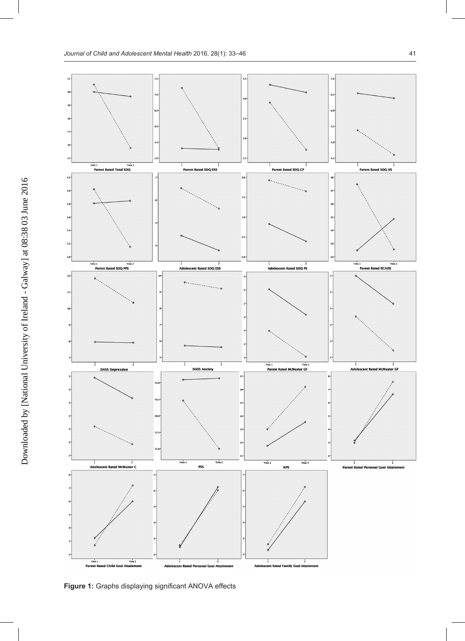

**Figure 1:** Graphs displaying significant ANOVA effects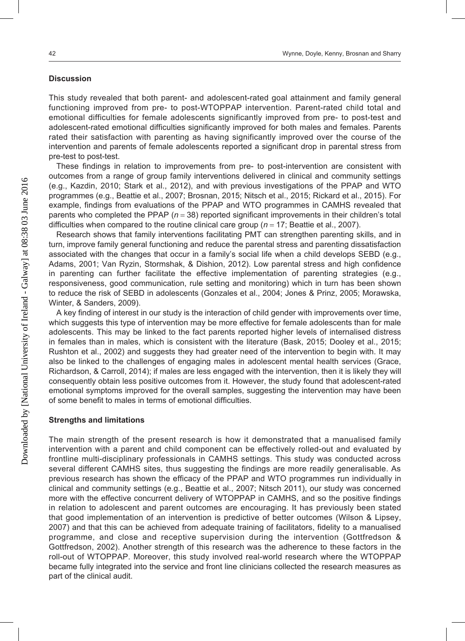# **Discussion**

This study revealed that both parent- and adolescent-rated goal attainment and family general functioning improved from pre- to post-WTOPPAP intervention. Parent-rated child total and emotional difficulties for female adolescents significantly improved from pre- to post-test and adolescent-rated emotional difficulties significantly improved for both males and females. Parents rated their satisfaction with parenting as having significantly improved over the course of the intervention and parents of female adolescents reported a significant drop in parental stress from pre-test to post-test.

These findings in relation to improvements from pre- to post-intervention are consistent with outcomes from a range of group family interventions delivered in clinical and community settings (e.g., Kazdin, 2010; Stark et al., 2012), and with previous investigations of the PPAP and WTO programmes (e.g., Beattie et al., 2007; Brosnan, 2015; Nitsch et al., 2015; Rickard et al., 2015). For example, findings from evaluations of the PPAP and WTO programmes in CAMHS revealed that parents who completed the PPAP (*n* = 38) reported significant improvements in their children's total difficulties when compared to the routine clinical care group (*n* = 17; Beattie et al., 2007).

Research shows that family interventions facilitating PMT can strengthen parenting skills, and in turn, improve family general functioning and reduce the parental stress and parenting dissatisfaction associated with the changes that occur in a family's social life when a child develops SEBD (e.g., Adams, 2001; Van Ryzin, Stormshak, & Dishion, 2012). Low parental stress and high confidence in parenting can further facilitate the effective implementation of parenting strategies (e.g., responsiveness, good communication, rule setting and monitoring) which in turn has been shown to reduce the risk of SEBD in adolescents (Gonzales et al., 2004; Jones & Prinz, 2005; Morawska, Winter, & Sanders, 2009).

A key finding of interest in our study is the interaction of child gender with improvements over time, which suggests this type of intervention may be more effective for female adolescents than for male adolescents. This may be linked to the fact parents reported higher levels of internalised distress in females than in males, which is consistent with the literature (Bask, 2015; Dooley et al., 2015; Rushton et al., 2002) and suggests they had greater need of the intervention to begin with. It may also be linked to the challenges of engaging males in adolescent mental health services (Grace, Richardson, & Carroll, 2014); if males are less engaged with the intervention, then it is likely they will consequently obtain less positive outcomes from it. However, the study found that adolescent-rated emotional symptoms improved for the overall samples, suggesting the intervention may have been of some benefit to males in terms of emotional difficulties.

#### **Strengths and limitations**

The main strength of the present research is how it demonstrated that a manualised family intervention with a parent and child component can be effectively rolled-out and evaluated by frontline multi-disciplinary professionals in CAMHS settings. This study was conducted across several different CAMHS sites, thus suggesting the findings are more readily generalisable. As previous research has shown the efficacy of the PPAP and WTO programmes run individually in clinical and community settings (e.g., Beattie et al., 2007; Nitsch 2011), our study was concerned more with the effective concurrent delivery of WTOPPAP in CAMHS, and so the positive findings in relation to adolescent and parent outcomes are encouraging. It has previously been stated that good implementation of an intervention is predictive of better outcomes (Wilson & Lipsey, 2007) and that this can be achieved from adequate training of facilitators, fidelity to a manualised programme, and close and receptive supervision during the intervention (Gottfredson & Gottfredson, 2002). Another strength of this research was the adherence to these factors in the roll-out of WTOPPAP. Moreover, this study involved real-world research where the WTOPPAP became fully integrated into the service and front line clinicians collected the research measures as part of the clinical audit.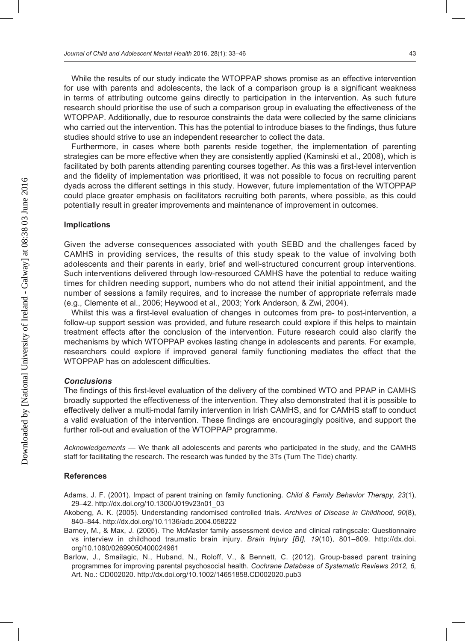While the results of our study indicate the WTOPPAP shows promise as an effective intervention for use with parents and adolescents, the lack of a comparison group is a significant weakness in terms of attributing outcome gains directly to participation in the intervention. As such future research should prioritise the use of such a comparison group in evaluating the effectiveness of the WTOPPAP. Additionally, due to resource constraints the data were collected by the same clinicians who carried out the intervention. This has the potential to introduce biases to the findings, thus future studies should strive to use an independent researcher to collect the data.

Furthermore, in cases where both parents reside together, the implementation of parenting strategies can be more effective when they are consistently applied (Kaminski et al., 2008), which is facilitated by both parents attending parenting courses together. As this was a first-level intervention and the fidelity of implementation was prioritised, it was not possible to focus on recruiting parent dyads across the different settings in this study. However, future implementation of the WTOPPAP could place greater emphasis on facilitators recruiting both parents, where possible, as this could potentially result in greater improvements and maintenance of improvement in outcomes.

#### **Implications**

Given the adverse consequences associated with youth SEBD and the challenges faced by CAMHS in providing services, the results of this study speak to the value of involving both adolescents and their parents in early, brief and well-structured concurrent group interventions. Such interventions delivered through low-resourced CAMHS have the potential to reduce waiting times for children needing support, numbers who do not attend their initial appointment, and the number of sessions a family requires, and to increase the number of appropriate referrals made (e.g., Clemente et al., 2006; Heywood et al., 2003; York Anderson, & Zwi, 2004).

Whilst this was a first-level evaluation of changes in outcomes from pre- to post-intervention, a follow-up support session was provided, and future research could explore if this helps to maintain treatment effects after the conclusion of the intervention. Future research could also clarify the mechanisms by which WTOPPAP evokes lasting change in adolescents and parents. For example, researchers could explore if improved general family functioning mediates the effect that the WTOPPAP has on adolescent difficulties.

#### *Conclusions*

The findings of this first-level evaluation of the delivery of the combined WTO and PPAP in CAMHS broadly supported the effectiveness of the intervention. They also demonstrated that it is possible to effectively deliver a multi-modal family intervention in Irish CAMHS, and for CAMHS staff to conduct a valid evaluation of the intervention. These findings are encouragingly positive, and support the further roll-out and evaluation of the WTOPPAP programme.

*Acknowledgements* — We thank all adolescents and parents who participated in the study, and the CAMHS staff for facilitating the research. The research was funded by the 3Ts (Turn The Tide) charity.

#### **References**

- Adams, J. F. (2001). Impact of parent training on family functioning. *Child & Family Behavior Therapy, 23*(1), 29–42. http://dx.doi.org/10.1300/J019v23n01\_03
- Akobeng, A. K. (2005). Understanding randomised controlled trials. *Archives of Disease in Childhood, 90*(8), 840–844. http://dx.doi.org/10.1136/adc.2004.058222
- Barney, M., & Max, J. (2005). The McMaster family assessment device and clinical ratingscale: Questionnaire vs interview in childhood traumatic brain injury. *Brain Injury [BI], 19*(10), 801–809. http://dx.doi. org/10.1080/02699050400024961
- Barlow, J., Smailagic, N., Huband, N., Roloff, V., & Bennett, C. (2012). Group-based parent training programmes for improving parental psychosocial health. *Cochrane Database of Systematic Reviews 2012, 6,*  Art. No.: CD002020. http://dx.doi.org/10.1002/14651858.CD002020.pub3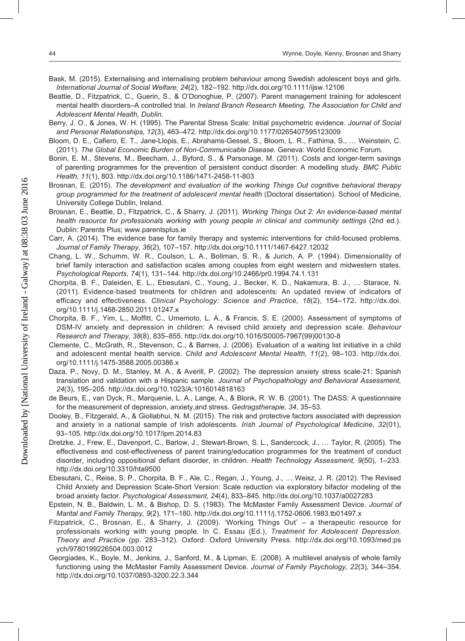- Bask, M. (2015). Externalising and internalising problem behaviour among Swedish adolescent boys and girls. *International Journal of Social Welfare, 24*(2), 182–192. http://dx.doi.org/10.1111/ijsw.12106
- Beattie, D., Fitzpatrick, C., Guerin, S., & O'Donoghue, P. (2007). Parent management training for adolescent mental health disorders–A controlled trial. In *Ireland Branch Research Meeting, The Association for Child and Adolescent Mental Health, Dublin*.
- Berry, J. O., & Jones, W. H. (1995). The Parental Stress Scale: Initial psychometric evidence. *Journal of Social and Personal Relationships, 12*(3), 463–472. http://dx.doi.org/10.1177/0265407595123009
- Bloom, D. E., Cafiero, E. T., Jane-Llopis, E., Abrahams-Gessel, S., Bloom, L. R., Fathima, S., … Weinstein, C. (2011). *The Global Economic Burden of Non-Communicable Disease*. Geneva: World Economic Forum.
- Bonin, E. M., Stevens, M., Beecham, J., Byford, S., & Parsonage, M. (2011). Costs and longer-term savings of parenting programmes for the prevention of persistent conduct disorder: A modelling study. *BMC Public Health, 11*(1), 803. http://dx.doi.org/10.1186/1471-2458-11-803
- Brosnan, E. (2015). *The development and evaluation of the working Things Out cognitive behavioral therapy group programmed for the treatment of adolescent mental health* (Doctoral dissertation). School of Medicine, University College Dublin, Ireland.
- Brosnan, E., Beattie, D., Fitzpatrick, C., & Sharry, J. (2011). *Working Things Out 2: An evidence-based mental health resource for professionals working with young people in clinical and community settings* (2nd ed.). Dublin: Parents Plus; www.parentsplus.ie
- Carr, A. (2014). The evidence base for family therapy and systemic interventions for child‐focused problems. *Journal of Family Therapy, 36*(2), 107–157. http://dx.doi.org/10.1111/1467-6427.12032
- Chang, L. W., Schumm, W. R., Coulson, L. A., Bollman, S. R., & Jurich, A. P. (1994). Dimensionality of brief family interaction and satisfaction scales among couples from eight western and midwestern states. *Psychological Reports, 74*(1), 131–144. http://dx.doi.org/10.2466/pr0.1994.74.1.131
- Chorpita, B. F., Daleiden, E. L., Ebesutani, C., Young, J., Becker, K. D., Nakamura, B. J., … Starace, N. (2011). Evidence-based treatments for children and adolescents: An updated review of indicators of efficacy and effectiveness. *Clinical Psychology: Science and Practice, 18*(2), 154–172. http://dx.doi. org/10.1111/j.1468-2850.2011.01247.x
- Chorpita, B. F., Yim, L., Moffitt, C., Umemoto, L. A., & Francis, S. E. (2000). Assessment of symptoms of DSM-IV anxiety and depression in children: A revised child anxiety and depression scale. *Behaviour Research and Therapy, 38*(8), 835–855. http://dx.doi.org/10.1016/S0005-7967(99)00130-8
- Clemente, C., McGrath, R., Stevenson, C., & Barnes, J. (2006). Evaluation of a waiting list initiative in a child and adolescent mental health service. *Child and Adolescent Mental Health, 11*(2), 98–103. http://dx.doi. org/10.1111/j.1475-3588.2005.00386.x
- Daza, P., Novy, D. M., Stanley, M. A., & Averill, P. (2002). The depression anxiety stress scale-21: Spanish translation and validation with a Hispanic sample. *Journal of Psychopathology and Behavioral Assessment, 24*(3), 195–205. http://dx.doi.org/10.1023/A:1016014818163
- de Beurs, E., van Dyck, R., Marquenie, L. A., Lange, A., & Blonk, R. W. B. (2001). The DASS: A questionnaire for the measurement of depression, anxiety,and stress. *Gedragstherapie, 34*, 35–53.
- Dooley, B., Fitzgerald, A., & Giollabhui, N. M. (2015). The risk and protective factors associated with depression and anxiety in a national sample of Irish adolescents. *Irish Journal of Psychological Medicine, 32*(01), 93–105. http://dx.doi.org/10.1017/ipm.2014.83
- Dretzke, J., Frew, E., Davenport, C., Barlow, J., Stewart-Brown, S. L., Sandercock, J., … Taylor, R. (2005). The effectiveness and cost-effectiveness of parent training/education programmes for the treatment of conduct disorder, including oppositional defiant disorder, in children. *Health Technology Assessment, 9*(50), 1–233. http://dx.doi.org/10.3310/hta9500
- Ebesutani, C., Reise, S. P., Chorpita, B. F., Ale, C., Regan, J., Young, J., … Weisz, J. R. (2012). The Revised Child Anxiety and Depression Scale-Short Version: Scale reduction via exploratory bifactor modeling of the broad anxiety factor. *Psychological Assessment, 24*(4), 833–845. http://dx.doi.org/10.1037/a0027283
- Epstein, N. B., Baldwin, L. M., & Bishop, D. S. (1983). The McMaster Family Assessment Device. *Journal of Marital and Family Therapy, 9*(2), 171–180. http://dx.doi.org/10.1111/j.1752-0606.1983.tb01497.x
- Fitzpatrick, C., Brosnan, E., & Sharry, J. (2009). 'Working Things Out' a therapeutic resource for professionals working with young people. In C. Essau (Ed.), *Treatment for Adolescent Depression. Theory and Practice* (pp. 283–312). Oxford: Oxford University Press. http://dx.doi.org/10.1093/med:ps ych/9780199226504.003.0012
- Georgiades, K., Boyle, M., Jenkins, J., Sanford, M., & Lipman, E. (2008). A multilevel analysis of whole family functioning using the McMaster Family Assessment Device. *Journal of Family Psychology, 22*(3), 344–354. http://dx.doi.org/10.1037/0893-3200.22.3.344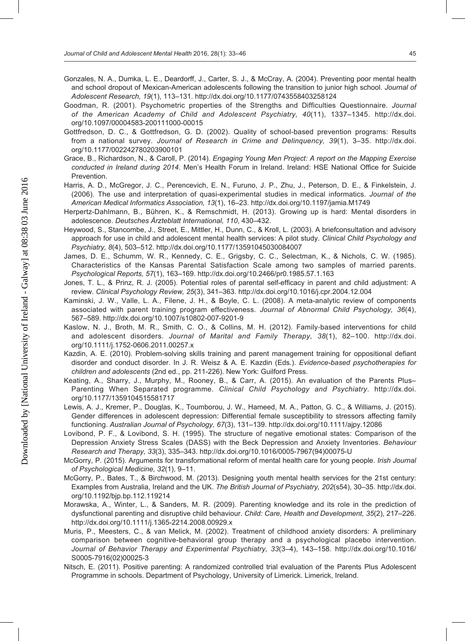- Gonzales, N. A., Dumka, L. E., Deardorff, J., Carter, S. J., & McCray, A. (2004). Preventing poor mental health and school dropout of Mexican-American adolescents following the transition to junior high school. *Journal of Adolescent Research, 19*(1), 113–131. http://dx.doi.org/10.1177/0743558403258124
- Goodman, R. (2001). Psychometric properties of the Strengths and Difficulties Questionnaire. *Journal of the American Academy of Child and Adolescent Psychiatry, 40*(11), 1337–1345. http://dx.doi. org/10.1097/00004583-200111000-00015
- Gottfredson, D. C., & Gottfredson, G. D. (2002). Quality of school-based prevention programs: Results from a national survey. *Journal of Research in Crime and Delinquency, 39*(1), 3–35. http://dx.doi. org/10.1177/002242780203900101
- Grace, B., Richardson, N., & Caroll, P. (2014). *Engaging Young Men Project: A report on the Mapping Exercise conducted in Ireland during 2014*. Men's Health Forum in Ireland. Ireland: HSE National Office for Suicide Prevention.
- Harris, A. D., McGregor, J. C., Perencevich, E. N., Furuno, J. P., Zhu, J., Peterson, D. E., & Finkelstein, J. (2006). The use and interpretation of quasi-experimental studies in medical informatics. *Journal of the American Medical Informatics Association, 13*(1), 16–23. http://dx.doi.org/10.1197/jamia.M1749
- Herpertz-Dahlmann, B., Bühren, K., & Remschmidt, H. (2013). Growing up is hard: Mental disorders in adolescence. *Deutsches Ärzteblatt International, 110*, 430–432.
- Heywood, S., Stancombe, J., Street, E., Mittler, H., Dunn, C., & Kroll, L. (2003). A briefconsultation and advisory approach for use in child and adolescent mental health services: A pilot study. *Clinical Child Psychology and Psychiatry, 8*(4), 503–512. http://dx.doi.org/10.1177/13591045030084007
- James, D. E., Schumm, W. R., Kennedy, C. E., Grigsby, C. C., Selectman, K., & Nichols, C. W. (1985). Characteristics of the Kansas Parental Satisfaction Scale among two samples of married parents. *Psychological Reports, 57*(1), 163–169. http://dx.doi.org/10.2466/pr0.1985.57.1.163
- Jones, T. L., & Prinz, R. J. (2005). Potential roles of parental self-efficacy in parent and child adjustment: A review. *Clinical Psychology Review, 25*(3), 341–363. http://dx.doi.org/10.1016/j.cpr.2004.12.004
- Kaminski, J. W., Valle, L. A., Filene, J. H., & Boyle, C. L. (2008). A meta-analytic review of components associated with parent training program effectiveness. *Journal of Abnormal Child Psychology, 36*(4), 567–589. http://dx.doi.org/10.1007/s10802-007-9201-9
- Kaslow, N. J., Broth, M. R., Smith, C. O., & Collins, M. H. (2012). Family-based interventions for child and adolescent disorders. *Journal of Marital and Family Therapy, 38*(1), 82–100. http://dx.doi. org/10.1111/j.1752-0606.2011.00257.x
- Kazdin, A. E. (2010). Problem-solving skills training and parent management training for oppositional defiant disorder and conduct disorder. In J. R. Weisz & A. E. Kazdin (Eds.). *Evidence-based psychotherapies for children and adolescents* (2nd ed., pp. 211-226). New York: Guilford Press.
- Keating, A., Sharry, J., Murphy, M., Rooney, B., & Carr, A. (2015). An evaluation of the Parents Plus– Parenting When Separated programme. *Clinical Child Psychology and Psychiatry*. http://dx.doi. org/10.1177/1359104515581717
- Lewis, A. J., Kremer, P., Douglas, K., Toumborou, J. W., Hameed, M. A., Patton, G. C., & Williams, J. (2015). Gender differences in adolescent depression: Differential female susceptibility to stressors affecting family functioning. *Australian Journal of Psychology, 67*(3), 131–139. http://dx.doi.org/10.1111/ajpy.12086
- Lovibond, P. F., & Lovibond, S. H. (1995). The structure of negative emotional states: Comparison of the Depression Anxiety Stress Scales (DASS) with the Beck Depression and Anxiety Inventories. *Behaviour Research and Therapy, 33*(3), 335–343. http://dx.doi.org/10.1016/0005-7967(94)00075-U
- McGorry, P. (2015). Arguments for transformational reform of mental health care for young people. *Irish Journal of Psychological Medicine, 32*(1), 9–11.
- McGorry, P., Bates, T., & Birchwood, M. (2013). Designing youth mental health services for the 21st century: Examples from Australia, Ireland and the UK. *The British Journal of Psychiatry, 202*(s54), 30–35. http://dx.doi. org/10.1192/bjp.bp.112.119214
- Morawska, A., Winter, L., & Sanders, M. R. (2009). Parenting knowledge and its role in the prediction of dysfunctional parenting and disruptive child behaviour. *Child: Care, Health and Development, 35*(2), 217–226. http://dx.doi.org/10.1111/j.1365-2214.2008.00929.x
- Muris, P., Meesters, C., & van Melick, M. (2002). Treatment of childhood anxiety disorders: A preliminary comparison between cognitive-behavioral group therapy and a psychological placebo intervention. *Journal of Behavior Therapy and Experimental Psychiatry, 33*(3–4), 143–158. http://dx.doi.org/10.1016/ S0005-7916(02)00025-3
- Nitsch, E. (2011). Positive parenting: A randomized controlled trial evaluation of the Parents Plus Adolescent Programme in schools. Department of Psychology, University of Limerick. Limerick, Ireland.